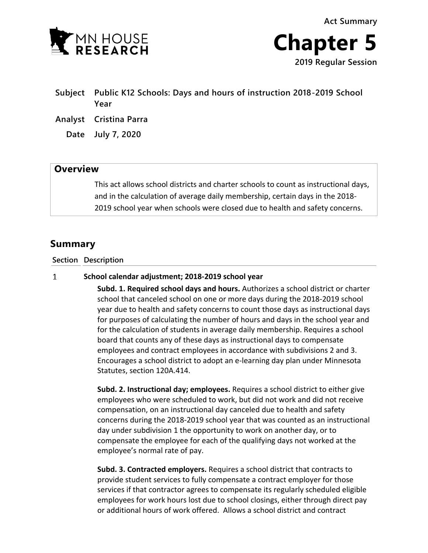



# **Subject Public K12 Schools: Days and hours of instruction 2018-2019 School Year**

- **Analyst Cristina Parra**
	- **Date July 7, 2020**

## **Overview**

This act allows school districts and charter schools to count as instructional days, and in the calculation of average daily membership, certain days in the 2018- 2019 school year when schools were closed due to health and safety concerns.

## **Summary**

### **Section Description**

#### $\mathbf{1}$ **School calendar adjustment; 2018-2019 school year**

**Subd. 1. Required school days and hours.** Authorizes a school district or charter school that canceled school on one or more days during the 2018-2019 school year due to health and safety concerns to count those days as instructional days for purposes of calculating the number of hours and days in the school year and for the calculation of students in average daily membership. Requires a school board that counts any of these days as instructional days to compensate employees and contract employees in accordance with subdivisions 2 and 3. Encourages a school district to adopt an e-learning day plan under Minnesota Statutes, section 120A.414.

**Subd. 2. Instructional day; employees.** Requires a school district to either give employees who were scheduled to work, but did not work and did not receive compensation, on an instructional day canceled due to health and safety concerns during the 2018-2019 school year that was counted as an instructional day under subdivision 1 the opportunity to work on another day, or to compensate the employee for each of the qualifying days not worked at the employee's normal rate of pay.

**Subd. 3. Contracted employers.** Requires a school district that contracts to provide student services to fully compensate a contract employer for those services if that contractor agrees to compensate its regularly scheduled eligible employees for work hours lost due to school closings, either through direct pay or additional hours of work offered. Allows a school district and contract